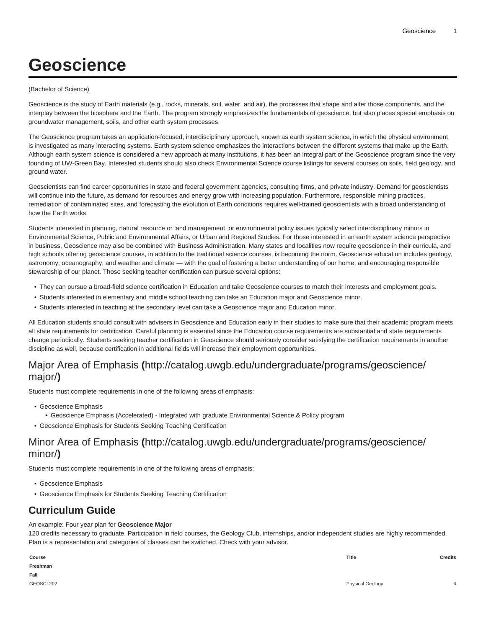# **Geoscience**

#### (Bachelor of Science)

Geoscience is the study of Earth materials (e.g., rocks, minerals, soil, water, and air), the processes that shape and alter those components, and the interplay between the biosphere and the Earth. The program strongly emphasizes the fundamentals of geoscience, but also places special emphasis on groundwater management, soils, and other earth system processes.

The Geoscience program takes an application-focused, interdisciplinary approach, known as earth system science, in which the physical environment is investigated as many interacting systems. Earth system science emphasizes the interactions between the different systems that make up the Earth. Although earth system science is considered a new approach at many institutions, it has been an integral part of the Geoscience program since the very founding of UW-Green Bay. Interested students should also check Environmental Science course listings for several courses on soils, field geology, and ground water.

Geoscientists can find career opportunities in state and federal government agencies, consulting firms, and private industry. Demand for geoscientists will continue into the future, as demand for resources and energy grow with increasing population. Furthermore, responsible mining practices, remediation of contaminated sites, and forecasting the evolution of Earth conditions requires well-trained geoscientists with a broad understanding of how the Earth works.

Students interested in planning, natural resource or land management, or environmental policy issues typically select interdisciplinary minors in Environmental Science, Public and Environmental Affairs, or Urban and Regional Studies. For those interested in an earth system science perspective in business, Geoscience may also be combined with Business Administration. Many states and localities now require geoscience in their curricula, and high schools offering geoscience courses, in addition to the traditional science courses, is becoming the norm. Geoscience education includes geology, astronomy, oceanography, and weather and climate — with the goal of fostering a better understanding of our home, and encouraging responsible stewardship of our planet. Those seeking teacher certification can pursue several options:

- They can pursue a broad-field science certification in Education and take Geoscience courses to match their interests and employment goals.
- Students interested in elementary and middle school teaching can take an Education major and Geoscience minor.
- Students interested in teaching at the secondary level can take a Geoscience major and Education minor.

All Education students should consult with advisers in Geoscience and Education early in their studies to make sure that their academic program meets all state requirements for certification. Careful planning is essential since the Education course requirements are substantial and state requirements change periodically. Students seeking teacher certification in Geoscience should seriously consider satisfying the certification requirements in another discipline as well, because certification in additional fields will increase their employment opportunities.

## [Major Area of Emphasis](http://catalog.uwgb.edu/undergraduate/programs/geoscience/major/) **(**[http://catalog.uwgb.edu/undergraduate/programs/geoscience/](http://catalog.uwgb.edu/undergraduate/programs/geoscience/major/) [major/](http://catalog.uwgb.edu/undergraduate/programs/geoscience/major/)**)**

Students must complete requirements in one of the following areas of emphasis:

- Geoscience Emphasis
- Geoscience Emphasis (Accelerated) Integrated with graduate Environmental Science & Policy program
- Geoscience Emphasis for Students Seeking Teaching Certification

### [Minor Area of Emphasis](http://catalog.uwgb.edu/undergraduate/programs/geoscience/minor/) **(**[http://catalog.uwgb.edu/undergraduate/programs/geoscience/](http://catalog.uwgb.edu/undergraduate/programs/geoscience/minor/) [minor/](http://catalog.uwgb.edu/undergraduate/programs/geoscience/minor/)**)**

Students must complete requirements in one of the following areas of emphasis:

- Geoscience Emphasis
- Geoscience Emphasis for Students Seeking Teaching Certification

## **Curriculum Guide**

#### An example: Four year plan for **Geoscience Major**

120 credits necessary to graduate. Participation in field courses, the Geology Club, internships, and/or independent studies are highly recommended. Plan is a representation and categories of classes can be switched. Check with your advisor.

| Course     | Title            | <b>Credits</b> |
|------------|------------------|----------------|
| Freshman   |                  |                |
| Fall       |                  |                |
| GEOSCI 202 | Physical Geology |                |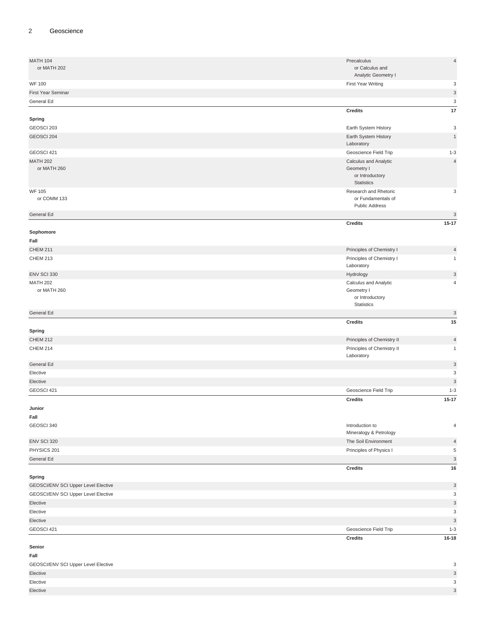#### 2 Geoscience

| <b>MATH 104</b>                     | Precalculus                               | $\sqrt{4}$                |
|-------------------------------------|-------------------------------------------|---------------------------|
| or MATH 202                         | or Calculus and                           |                           |
|                                     | Analytic Geometry I                       |                           |
| <b>WF 100</b>                       | First Year Writing                        | 3                         |
| First Year Seminar                  |                                           | $\ensuremath{\mathsf{3}}$ |
| General Ed                          |                                           | 3                         |
|                                     | <b>Credits</b>                            | 17                        |
| Spring                              |                                           |                           |
| GEOSCI 203                          | Earth System History                      | 3                         |
| GEOSCI 204                          | Earth System History                      | $\mathbf{1}$              |
|                                     | Laboratory                                |                           |
| GEOSCI 421                          | Geoscience Field Trip                     | $1 - 3$                   |
| <b>MATH 202</b>                     | Calculus and Analytic                     | $\sqrt{4}$                |
| or MATH 260                         | Geometry I                                |                           |
|                                     | or Introductory<br><b>Statistics</b>      |                           |
| <b>WF 105</b>                       | Research and Rhetoric                     | 3                         |
| or COMM 133                         | or Fundamentals of                        |                           |
|                                     | <b>Public Address</b>                     |                           |
| General Ed                          |                                           | $\mathbf{3}$              |
|                                     | <b>Credits</b>                            | $15 - 17$                 |
| Sophomore                           |                                           |                           |
| Fall                                |                                           |                           |
| <b>CHEM 211</b>                     | Principles of Chemistry I                 | $\overline{4}$            |
| <b>CHEM 213</b>                     | Principles of Chemistry I                 | $\mathbf{1}$              |
|                                     | Laboratory                                |                           |
| ENV SCI 330                         | Hydrology                                 | $\ensuremath{\mathsf{3}}$ |
| <b>MATH 202</b>                     | Calculus and Analytic                     | 4                         |
| or MATH 260                         | Geometry I                                |                           |
|                                     | or Introductory<br><b>Statistics</b>      |                           |
|                                     |                                           |                           |
|                                     |                                           |                           |
| General Ed                          |                                           | $\sqrt{3}$                |
|                                     | <b>Credits</b>                            | 15                        |
| Spring                              |                                           |                           |
| <b>CHEM 212</b>                     | Principles of Chemistry II                | $\overline{4}$            |
| <b>CHEM 214</b>                     | Principles of Chemistry II                | $\mathbf{1}$              |
| General Ed                          | Laboratory                                | $\mathsf 3$               |
| Elective                            |                                           | 3                         |
| Elective                            |                                           | 3                         |
| GEOSCI 421                          | Geoscience Field Trip                     | $1 - 3$                   |
|                                     |                                           | $15 - 17$                 |
|                                     | <b>Credits</b>                            |                           |
| Junior                              |                                           |                           |
| Fall                                |                                           | 4                         |
| GEOSCI 340                          | Introduction to<br>Mineralogy & Petrology |                           |
| ENV SCI 320                         | The Soil Environment                      | $\overline{4}$            |
| PHYSICS 201                         | Principles of Physics I                   | 5                         |
| General Ed                          |                                           | $\ensuremath{\mathsf{3}}$ |
|                                     | Credits                                   | 16                        |
| Spring                              |                                           |                           |
| GEOSCI/ENV SCI Upper Level Elective |                                           | $\mathsf 3$               |
| GEOSCI/ENV SCI Upper Level Elective |                                           | 3                         |
| Elective                            |                                           | 3                         |
| Elective                            |                                           | 3                         |
| Elective                            |                                           | $\mathsf 3$               |
| GEOSCI 421                          | Geoscience Field Trip                     | $1 - 3$                   |
|                                     | <b>Credits</b>                            | $16 - 18$                 |
| Senior                              |                                           |                           |
| Fall                                |                                           |                           |
| GEOSCI/ENV SCI Upper Level Elective |                                           | 3                         |

| <b>PERIODICAL CO.</b> Peppor EDIOI EIGOING | $\tilde{\phantom{a}}$ |
|--------------------------------------------|-----------------------|
| Elective                                   | $\sim$                |
| Elective                                   | $\sim$                |
| Elective                                   | $\sim$                |
|                                            |                       |